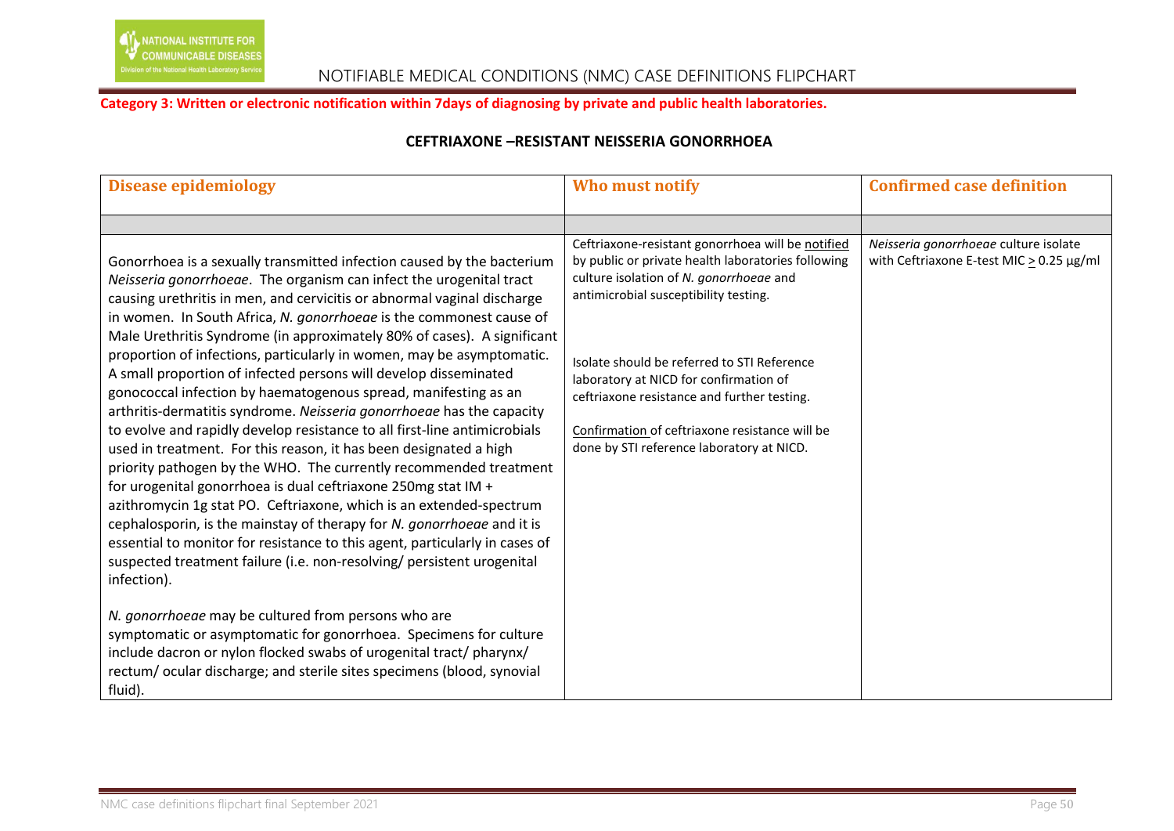# In of the National Health Laboratory Service NOTIFIABLE MEDICAL CONDITIONS (NMC) CASE DEFINITIONS FLIPCHART

## **Category 3: Written or electronic notification within 7days of diagnosing by private and public health laboratories.**

# **CEFTRIAXONE –RESISTANT NEISSERIA GONORRHOEA**

| <b>Disease epidemiology</b>                                                                                                                                                                                                                                                                                                                                                                                                                                                                                                                                                                                                                                                                                                                                                                                                                                                                                                                                                                                                                                                                                                                                                                                                                                                                                                                                                                                                                                                                                                                                                 | Who must notify                                                                                                                                                                                                                                                                                                                                                                                                                    | <b>Confirmed case definition</b>                                                       |
|-----------------------------------------------------------------------------------------------------------------------------------------------------------------------------------------------------------------------------------------------------------------------------------------------------------------------------------------------------------------------------------------------------------------------------------------------------------------------------------------------------------------------------------------------------------------------------------------------------------------------------------------------------------------------------------------------------------------------------------------------------------------------------------------------------------------------------------------------------------------------------------------------------------------------------------------------------------------------------------------------------------------------------------------------------------------------------------------------------------------------------------------------------------------------------------------------------------------------------------------------------------------------------------------------------------------------------------------------------------------------------------------------------------------------------------------------------------------------------------------------------------------------------------------------------------------------------|------------------------------------------------------------------------------------------------------------------------------------------------------------------------------------------------------------------------------------------------------------------------------------------------------------------------------------------------------------------------------------------------------------------------------------|----------------------------------------------------------------------------------------|
|                                                                                                                                                                                                                                                                                                                                                                                                                                                                                                                                                                                                                                                                                                                                                                                                                                                                                                                                                                                                                                                                                                                                                                                                                                                                                                                                                                                                                                                                                                                                                                             |                                                                                                                                                                                                                                                                                                                                                                                                                                    |                                                                                        |
| Gonorrhoea is a sexually transmitted infection caused by the bacterium<br>Neisseria gonorrhoeae. The organism can infect the urogenital tract<br>causing urethritis in men, and cervicitis or abnormal vaginal discharge<br>in women. In South Africa, N. gonorrhoeae is the commonest cause of<br>Male Urethritis Syndrome (in approximately 80% of cases). A significant<br>proportion of infections, particularly in women, may be asymptomatic.<br>A small proportion of infected persons will develop disseminated<br>gonococcal infection by haematogenous spread, manifesting as an<br>arthritis-dermatitis syndrome. Neisseria gonorrhoeae has the capacity<br>to evolve and rapidly develop resistance to all first-line antimicrobials<br>used in treatment. For this reason, it has been designated a high<br>priority pathogen by the WHO. The currently recommended treatment<br>for urogenital gonorrhoea is dual ceftriaxone 250mg stat IM +<br>azithromycin 1g stat PO. Ceftriaxone, which is an extended-spectrum<br>cephalosporin, is the mainstay of therapy for N. gonorrhoeae and it is<br>essential to monitor for resistance to this agent, particularly in cases of<br>suspected treatment failure (i.e. non-resolving/ persistent urogenital<br>infection).<br>N. gonorrhoeae may be cultured from persons who are<br>symptomatic or asymptomatic for gonorrhoea. Specimens for culture<br>include dacron or nylon flocked swabs of urogenital tract/ pharynx/<br>rectum/ocular discharge; and sterile sites specimens (blood, synovial<br>fluid). | Ceftriaxone-resistant gonorrhoea will be notified<br>by public or private health laboratories following<br>culture isolation of N. gonorrhoeae and<br>antimicrobial susceptibility testing.<br>Isolate should be referred to STI Reference<br>laboratory at NICD for confirmation of<br>ceftriaxone resistance and further testing.<br>Confirmation of ceftriaxone resistance will be<br>done by STI reference laboratory at NICD. | Neisseria gonorrhoeae culture isolate<br>with Ceftriaxone E-test MIC $> 0.25 \mu g/ml$ |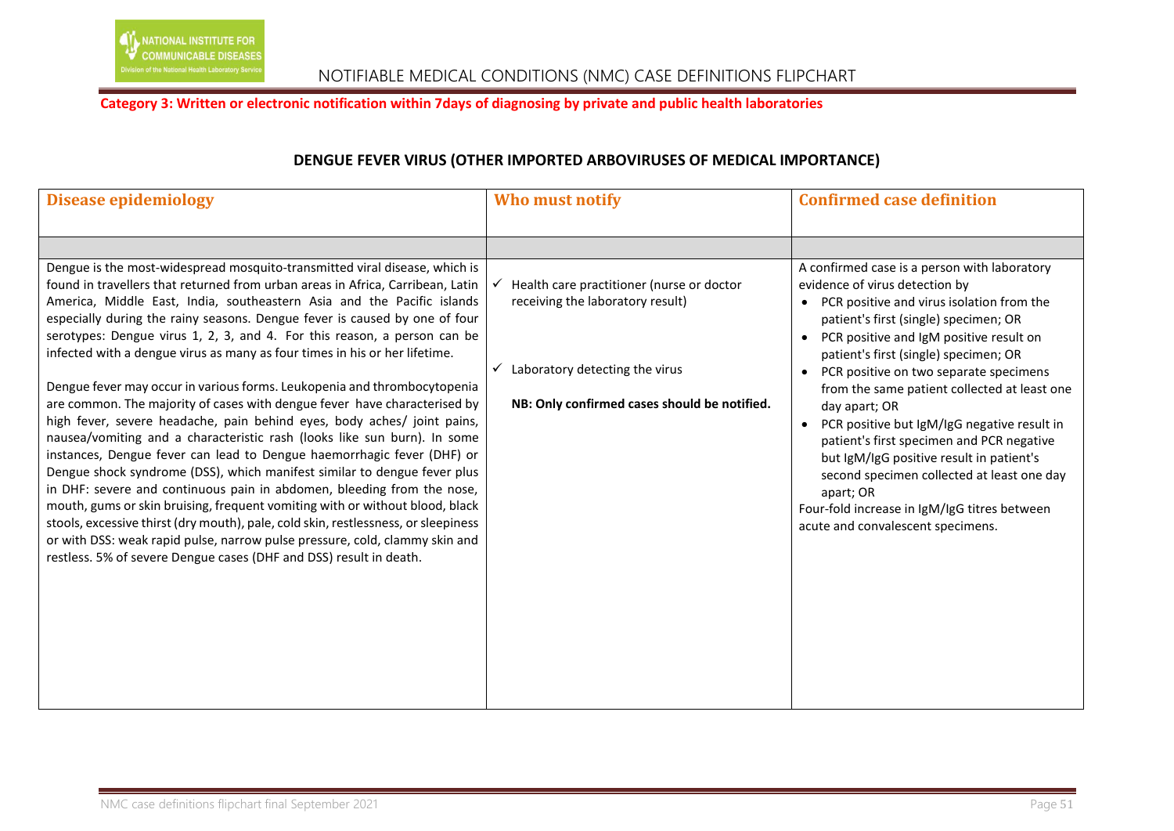### **Category 3: Written or electronic notification within 7days of diagnosing by private and public health laboratories**

# **DENGUE FEVER VIRUS (OTHER IMPORTED ARBOVIRUSES OF MEDICAL IMPORTANCE)**

| <b>Disease epidemiology</b>                                                                                                                                                                                                                                                                                                                                                                                                                                                                                                                                                                                                                                                                                                                                                                                                                                                                                                                                                                                                                                                                                                                                                                                                                                                                                                                               | Who must notify                                                                                                                                                                 | <b>Confirmed case definition</b>                                                                                                                                                                                                                                                                                                                                                                                                                                                                                                                                                                                                                            |
|-----------------------------------------------------------------------------------------------------------------------------------------------------------------------------------------------------------------------------------------------------------------------------------------------------------------------------------------------------------------------------------------------------------------------------------------------------------------------------------------------------------------------------------------------------------------------------------------------------------------------------------------------------------------------------------------------------------------------------------------------------------------------------------------------------------------------------------------------------------------------------------------------------------------------------------------------------------------------------------------------------------------------------------------------------------------------------------------------------------------------------------------------------------------------------------------------------------------------------------------------------------------------------------------------------------------------------------------------------------|---------------------------------------------------------------------------------------------------------------------------------------------------------------------------------|-------------------------------------------------------------------------------------------------------------------------------------------------------------------------------------------------------------------------------------------------------------------------------------------------------------------------------------------------------------------------------------------------------------------------------------------------------------------------------------------------------------------------------------------------------------------------------------------------------------------------------------------------------------|
|                                                                                                                                                                                                                                                                                                                                                                                                                                                                                                                                                                                                                                                                                                                                                                                                                                                                                                                                                                                                                                                                                                                                                                                                                                                                                                                                                           |                                                                                                                                                                                 |                                                                                                                                                                                                                                                                                                                                                                                                                                                                                                                                                                                                                                                             |
| Dengue is the most-widespread mosquito-transmitted viral disease, which is<br>found in travellers that returned from urban areas in Africa, Carribean, Latin<br>America, Middle East, India, southeastern Asia and the Pacific islands<br>especially during the rainy seasons. Dengue fever is caused by one of four<br>serotypes: Dengue virus 1, 2, 3, and 4. For this reason, a person can be<br>infected with a dengue virus as many as four times in his or her lifetime.<br>Dengue fever may occur in various forms. Leukopenia and thrombocytopenia<br>are common. The majority of cases with dengue fever have characterised by<br>high fever, severe headache, pain behind eyes, body aches/ joint pains,<br>nausea/vomiting and a characteristic rash (looks like sun burn). In some<br>instances, Dengue fever can lead to Dengue haemorrhagic fever (DHF) or<br>Dengue shock syndrome (DSS), which manifest similar to dengue fever plus<br>in DHF: severe and continuous pain in abdomen, bleeding from the nose,<br>mouth, gums or skin bruising, frequent vomiting with or without blood, black<br>stools, excessive thirst (dry mouth), pale, cold skin, restlessness, or sleepiness<br>or with DSS: weak rapid pulse, narrow pulse pressure, cold, clammy skin and<br>restless. 5% of severe Dengue cases (DHF and DSS) result in death. | Health care practitioner (nurse or doctor<br>receiving the laboratory result)<br>Laboratory detecting the virus<br>$\checkmark$<br>NB: Only confirmed cases should be notified. | A confirmed case is a person with laboratory<br>evidence of virus detection by<br>PCR positive and virus isolation from the<br>patient's first (single) specimen; OR<br>PCR positive and IgM positive result on<br>patient's first (single) specimen; OR<br>PCR positive on two separate specimens<br>from the same patient collected at least one<br>day apart; OR<br>PCR positive but IgM/IgG negative result in<br>patient's first specimen and PCR negative<br>but IgM/IgG positive result in patient's<br>second specimen collected at least one day<br>apart; OR<br>Four-fold increase in IgM/IgG titres between<br>acute and convalescent specimens. |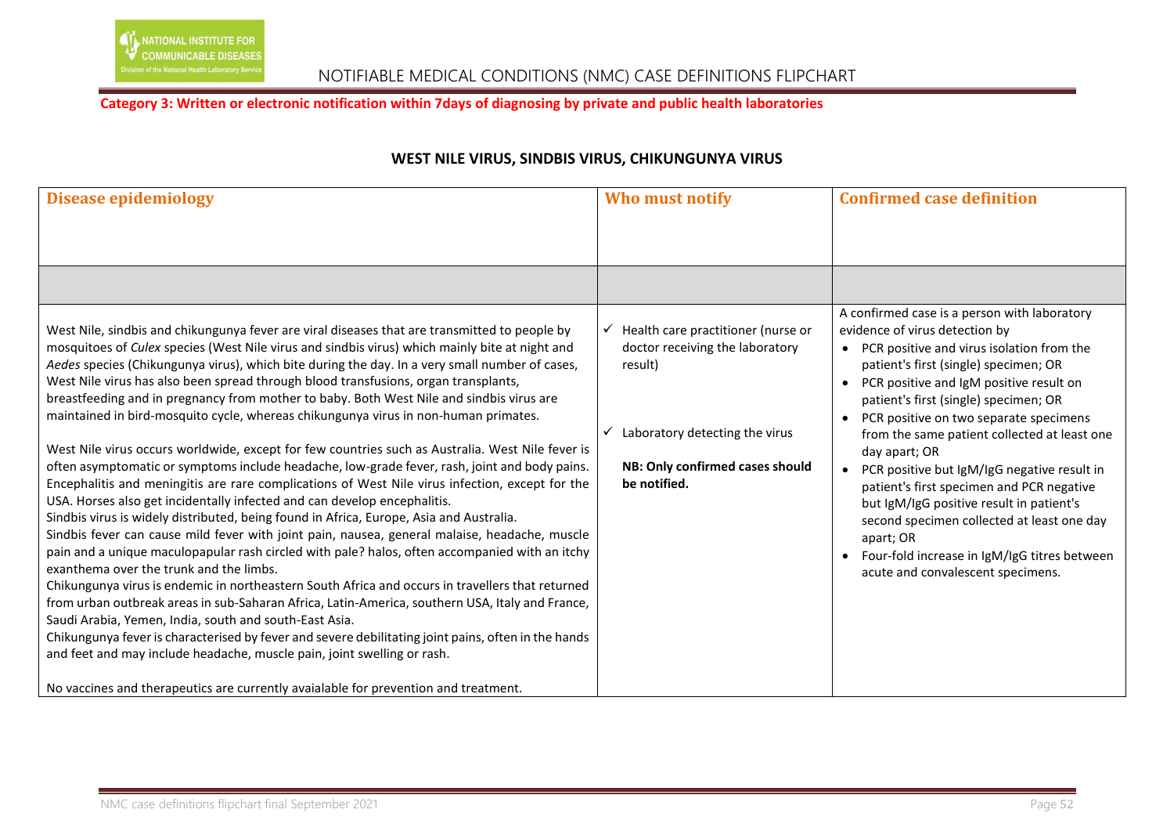### **Category 3: Written or electronic notification within 7days of diagnosing by private and public health laboratories**

# **WEST NILE VIRUS, SINDBIS VIRUS, CHIKUNGUNYA VIRUS**

| <b>Disease epidemiology</b>                                                                                                                                                                                                                                                                                                                                                                                                                                                                                                                                                                                                                                                                                                                                                                                                                                                                                                                                                                                                                                                                                                                                                                                                                                                                                                                                                                                                                                                                                                                                                                                                                                                                                                                                                                                                                        | Who must notify                                                                                                                                                       | <b>Confirmed case definition</b>                                                                                                                                                                                                                                                                                                                                                                                                                                                                                                                                                                                                                                                      |
|----------------------------------------------------------------------------------------------------------------------------------------------------------------------------------------------------------------------------------------------------------------------------------------------------------------------------------------------------------------------------------------------------------------------------------------------------------------------------------------------------------------------------------------------------------------------------------------------------------------------------------------------------------------------------------------------------------------------------------------------------------------------------------------------------------------------------------------------------------------------------------------------------------------------------------------------------------------------------------------------------------------------------------------------------------------------------------------------------------------------------------------------------------------------------------------------------------------------------------------------------------------------------------------------------------------------------------------------------------------------------------------------------------------------------------------------------------------------------------------------------------------------------------------------------------------------------------------------------------------------------------------------------------------------------------------------------------------------------------------------------------------------------------------------------------------------------------------------------|-----------------------------------------------------------------------------------------------------------------------------------------------------------------------|---------------------------------------------------------------------------------------------------------------------------------------------------------------------------------------------------------------------------------------------------------------------------------------------------------------------------------------------------------------------------------------------------------------------------------------------------------------------------------------------------------------------------------------------------------------------------------------------------------------------------------------------------------------------------------------|
|                                                                                                                                                                                                                                                                                                                                                                                                                                                                                                                                                                                                                                                                                                                                                                                                                                                                                                                                                                                                                                                                                                                                                                                                                                                                                                                                                                                                                                                                                                                                                                                                                                                                                                                                                                                                                                                    |                                                                                                                                                                       |                                                                                                                                                                                                                                                                                                                                                                                                                                                                                                                                                                                                                                                                                       |
|                                                                                                                                                                                                                                                                                                                                                                                                                                                                                                                                                                                                                                                                                                                                                                                                                                                                                                                                                                                                                                                                                                                                                                                                                                                                                                                                                                                                                                                                                                                                                                                                                                                                                                                                                                                                                                                    |                                                                                                                                                                       |                                                                                                                                                                                                                                                                                                                                                                                                                                                                                                                                                                                                                                                                                       |
| West Nile, sindbis and chikungunya fever are viral diseases that are transmitted to people by<br>mosquitoes of Culex species (West Nile virus and sindbis virus) which mainly bite at night and<br>Aedes species (Chikungunya virus), which bite during the day. In a very small number of cases,<br>West Nile virus has also been spread through blood transfusions, organ transplants,<br>breastfeeding and in pregnancy from mother to baby. Both West Nile and sindbis virus are<br>maintained in bird-mosquito cycle, whereas chikungunya virus in non-human primates.<br>West Nile virus occurs worldwide, except for few countries such as Australia. West Nile fever is<br>often asymptomatic or symptoms include headache, low-grade fever, rash, joint and body pains.<br>Encephalitis and meningitis are rare complications of West Nile virus infection, except for the<br>USA. Horses also get incidentally infected and can develop encephalitis.<br>Sindbis virus is widely distributed, being found in Africa, Europe, Asia and Australia.<br>Sindbis fever can cause mild fever with joint pain, nausea, general malaise, headache, muscle<br>pain and a unique maculopapular rash circled with pale? halos, often accompanied with an itchy<br>exanthema over the trunk and the limbs.<br>Chikungunya virus is endemic in northeastern South Africa and occurs in travellers that returned<br>from urban outbreak areas in sub-Saharan Africa, Latin-America, southern USA, Italy and France,<br>Saudi Arabia, Yemen, India, south and south-East Asia.<br>Chikungunya fever is characterised by fever and severe debilitating joint pains, often in the hands<br>and feet and may include headache, muscle pain, joint swelling or rash.<br>No vaccines and therapeutics are currently avaialable for prevention and treatment. | Health care practitioner (nurse or<br>doctor receiving the laboratory<br>result)<br>Laboratory detecting the virus<br>NB: Only confirmed cases should<br>be notified. | A confirmed case is a person with laboratory<br>evidence of virus detection by<br>PCR positive and virus isolation from the<br>patient's first (single) specimen; OR<br>PCR positive and IgM positive result on<br>patient's first (single) specimen; OR<br>PCR positive on two separate specimens<br>from the same patient collected at least one<br>day apart; OR<br>PCR positive but IgM/IgG negative result in<br>$\bullet$<br>patient's first specimen and PCR negative<br>but IgM/IgG positive result in patient's<br>second specimen collected at least one day<br>apart; OR<br>Four-fold increase in IgM/IgG titres between<br>$\bullet$<br>acute and convalescent specimens. |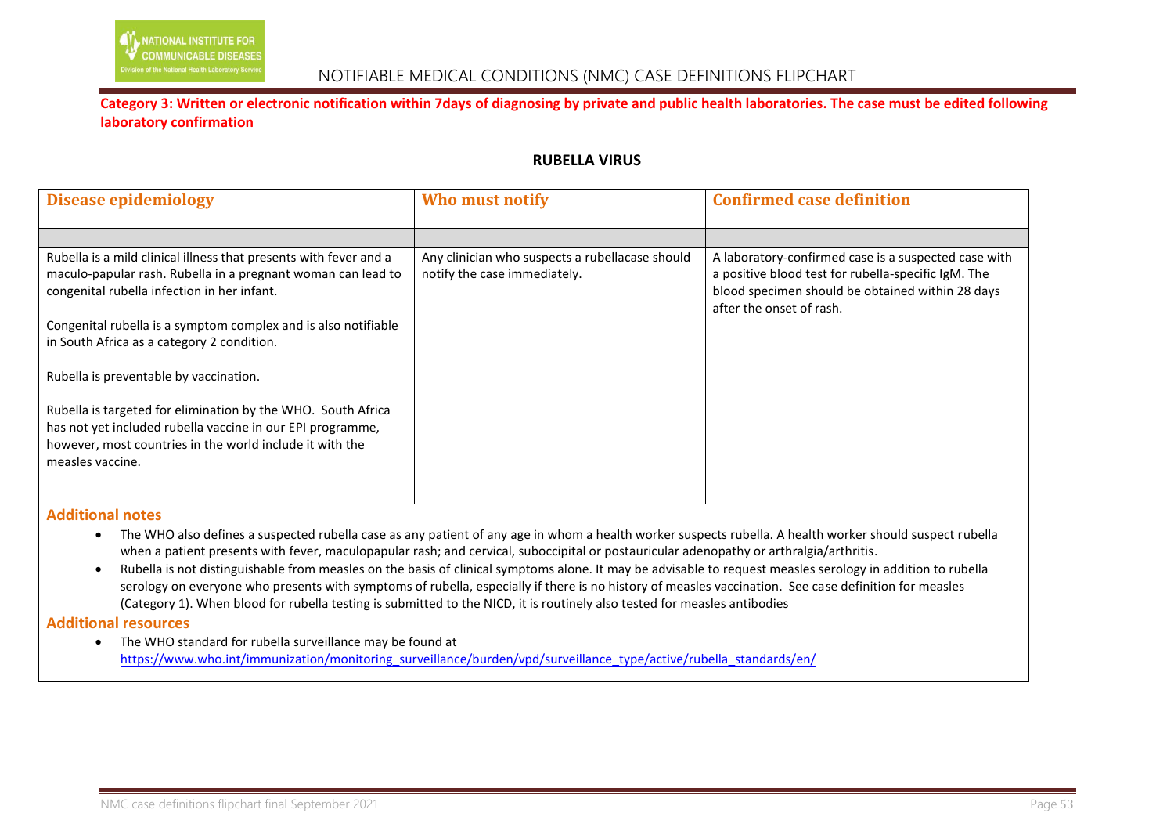

#### **RUBELLA VIRUS**

| <b>Disease epidemiology</b>                                                                                                                                                                                | Who must notify                                                                 | <b>Confirmed case definition</b>                                                                                                                                                            |
|------------------------------------------------------------------------------------------------------------------------------------------------------------------------------------------------------------|---------------------------------------------------------------------------------|---------------------------------------------------------------------------------------------------------------------------------------------------------------------------------------------|
|                                                                                                                                                                                                            |                                                                                 |                                                                                                                                                                                             |
| Rubella is a mild clinical illness that presents with fever and a<br>maculo-papular rash. Rubella in a pregnant woman can lead to<br>congenital rubella infection in her infant.                           | Any clinician who suspects a rubellacase should<br>notify the case immediately. | A laboratory-confirmed case is a suspected case with<br>a positive blood test for rubella-specific IgM. The<br>blood specimen should be obtained within 28 days<br>after the onset of rash. |
| Congenital rubella is a symptom complex and is also notifiable<br>in South Africa as a category 2 condition.                                                                                               |                                                                                 |                                                                                                                                                                                             |
| Rubella is preventable by vaccination.                                                                                                                                                                     |                                                                                 |                                                                                                                                                                                             |
| Rubella is targeted for elimination by the WHO. South Africa<br>has not yet included rubella vaccine in our EPI programme,<br>however, most countries in the world include it with the<br>measles vaccine. |                                                                                 |                                                                                                                                                                                             |

**Additional notes** 

- The WHO also defines a suspected rubella case as any patient of any age in whom a health worker suspects rubella. A health worker should suspect rubella when a patient presents with fever, maculopapular rash; and cervical, suboccipital or postauricular adenopathy or arthralgia/arthritis.
- Rubella is not distinguishable from measles on the basis of clinical symptoms alone. It may be advisable to request measles serology in addition to rubella serology on everyone who presents with symptoms of rubella, especially if there is no history of measles vaccination. See case definition for measles (Category 1). When blood for rubella testing is submitted to the NICD, it is routinely also tested for measles antibodies

#### **Additional resources**

 The WHO standard for rubella surveillance may be found at [https://www.who.int/immunization/monitoring\\_surveillance/burden/vpd/surveillance\\_type/active/rubella\\_standards/en/](https://www.who.int/immunization/monitoring_surveillance/burden/vpd/surveillance_type/active/rubella_standards/en/)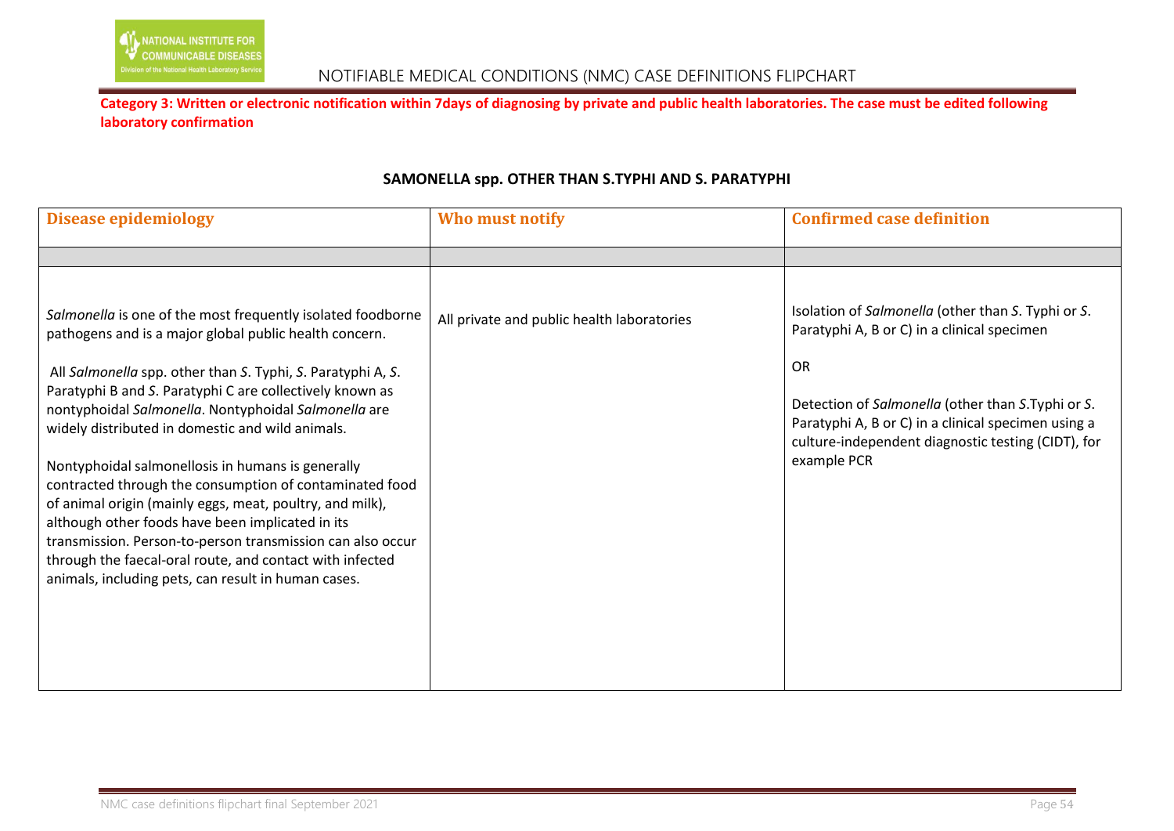

| <b>Disease epidemiology</b>                                                                                                                                                                                                                                                                                                                                                                                                                                                                                                                                                                                                                                                                                                                                                   | Who must notify                            | <b>Confirmed case definition</b>                                                                                                                                                                                                                                                                |
|-------------------------------------------------------------------------------------------------------------------------------------------------------------------------------------------------------------------------------------------------------------------------------------------------------------------------------------------------------------------------------------------------------------------------------------------------------------------------------------------------------------------------------------------------------------------------------------------------------------------------------------------------------------------------------------------------------------------------------------------------------------------------------|--------------------------------------------|-------------------------------------------------------------------------------------------------------------------------------------------------------------------------------------------------------------------------------------------------------------------------------------------------|
|                                                                                                                                                                                                                                                                                                                                                                                                                                                                                                                                                                                                                                                                                                                                                                               |                                            |                                                                                                                                                                                                                                                                                                 |
| Salmonella is one of the most frequently isolated foodborne<br>pathogens and is a major global public health concern.<br>All Salmonella spp. other than S. Typhi, S. Paratyphi A, S.<br>Paratyphi B and S. Paratyphi C are collectively known as<br>nontyphoidal Salmonella. Nontyphoidal Salmonella are<br>widely distributed in domestic and wild animals.<br>Nontyphoidal salmonellosis in humans is generally<br>contracted through the consumption of contaminated food<br>of animal origin (mainly eggs, meat, poultry, and milk),<br>although other foods have been implicated in its<br>transmission. Person-to-person transmission can also occur<br>through the faecal-oral route, and contact with infected<br>animals, including pets, can result in human cases. | All private and public health laboratories | Isolation of Salmonella (other than S. Typhi or S.<br>Paratyphi A, B or C) in a clinical specimen<br><b>OR</b><br>Detection of Salmonella (other than S.Typhi or S.<br>Paratyphi A, B or C) in a clinical specimen using a<br>culture-independent diagnostic testing (CIDT), for<br>example PCR |

### **SAMONELLA spp. OTHER THAN S.TYPHI AND S. PARATYPHI**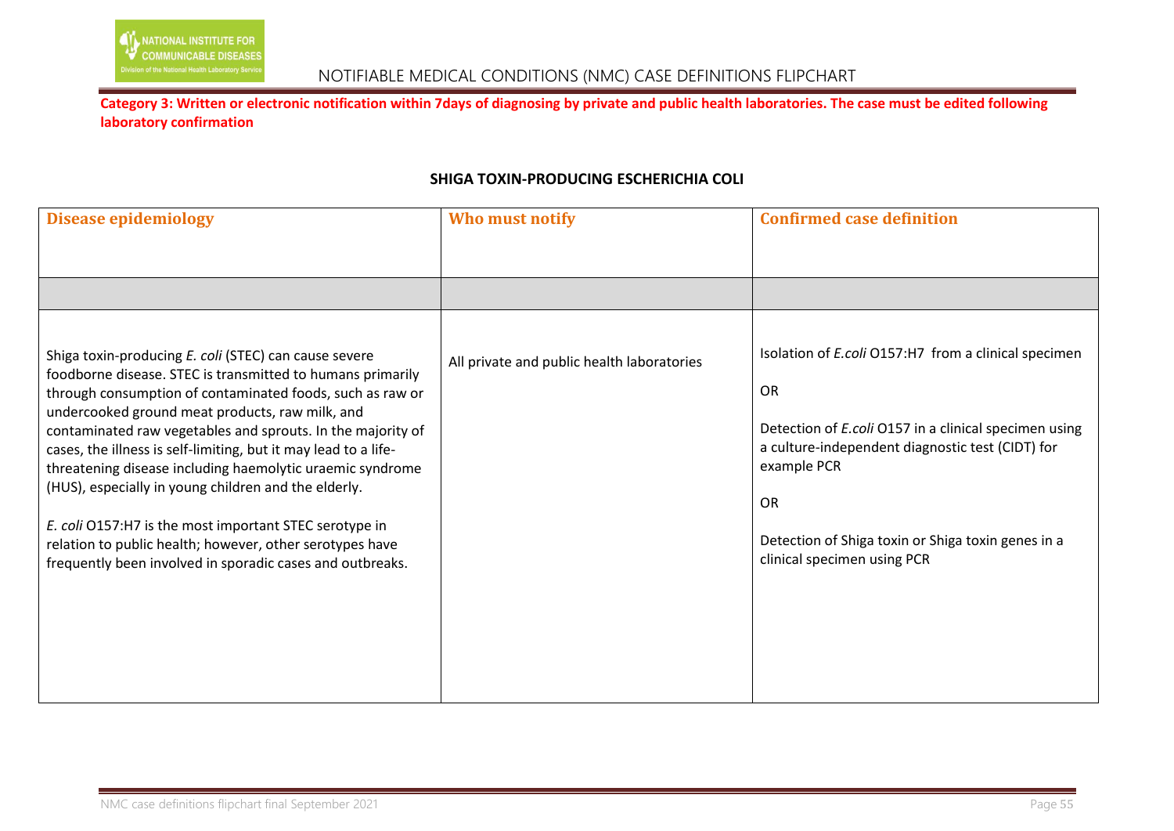### **SHIGA TOXIN-PRODUCING ESCHERICHIA COLI**

| <b>Disease epidemiology</b>                                                                                                                                                                                                                                                                                                                                                                                                                                                                                                                                                                                                                                                   | Who must notify                            | <b>Confirmed case definition</b>                                                                                                                                                                                                                                                                       |
|-------------------------------------------------------------------------------------------------------------------------------------------------------------------------------------------------------------------------------------------------------------------------------------------------------------------------------------------------------------------------------------------------------------------------------------------------------------------------------------------------------------------------------------------------------------------------------------------------------------------------------------------------------------------------------|--------------------------------------------|--------------------------------------------------------------------------------------------------------------------------------------------------------------------------------------------------------------------------------------------------------------------------------------------------------|
|                                                                                                                                                                                                                                                                                                                                                                                                                                                                                                                                                                                                                                                                               |                                            |                                                                                                                                                                                                                                                                                                        |
|                                                                                                                                                                                                                                                                                                                                                                                                                                                                                                                                                                                                                                                                               |                                            |                                                                                                                                                                                                                                                                                                        |
| Shiga toxin-producing E. coli (STEC) can cause severe<br>foodborne disease. STEC is transmitted to humans primarily<br>through consumption of contaminated foods, such as raw or<br>undercooked ground meat products, raw milk, and<br>contaminated raw vegetables and sprouts. In the majority of<br>cases, the illness is self-limiting, but it may lead to a life-<br>threatening disease including haemolytic uraemic syndrome<br>(HUS), especially in young children and the elderly.<br>E. coli O157:H7 is the most important STEC serotype in<br>relation to public health; however, other serotypes have<br>frequently been involved in sporadic cases and outbreaks. | All private and public health laboratories | Isolation of <i>E.coli</i> O157:H7 from a clinical specimen<br><b>OR</b><br>Detection of E.coli O157 in a clinical specimen using<br>a culture-independent diagnostic test (CIDT) for<br>example PCR<br><b>OR</b><br>Detection of Shiga toxin or Shiga toxin genes in a<br>clinical specimen using PCR |